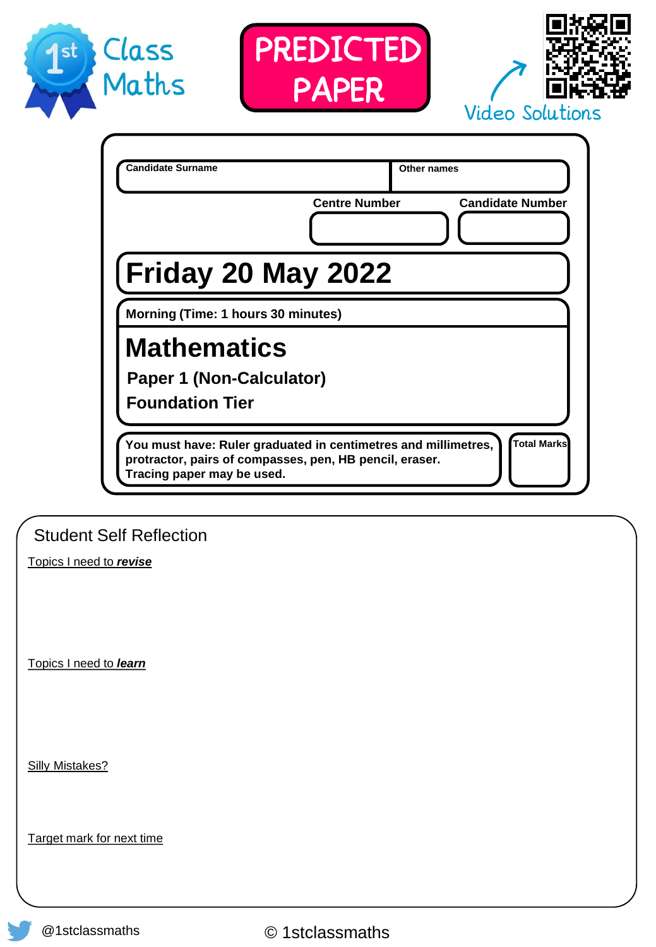





| <b>Candidate Surname</b>                                                                                                                                | Other names<br><b>Centre Number</b> | <b>Candidate Number</b> |
|---------------------------------------------------------------------------------------------------------------------------------------------------------|-------------------------------------|-------------------------|
| <b>Friday 20 May 2022</b>                                                                                                                               |                                     |                         |
| Morning (Time: 1 hours 30 minutes)                                                                                                                      |                                     |                         |
| <b>Mathematics</b><br><b>Paper 1 (Non-Calculator)</b>                                                                                                   |                                     |                         |
| <b>Foundation Tier</b>                                                                                                                                  |                                     |                         |
| You must have: Ruler graduated in centimetres and millimetres,<br>protractor, pairs of compasses, pen, HB pencil, eraser.<br>Tracing paper may be used. |                                     | <b>Total Marks</b>      |

Student Self Reflection

Topics I need to *revise*

Topics I need to *learn*

Silly Mistakes?

Target mark for next time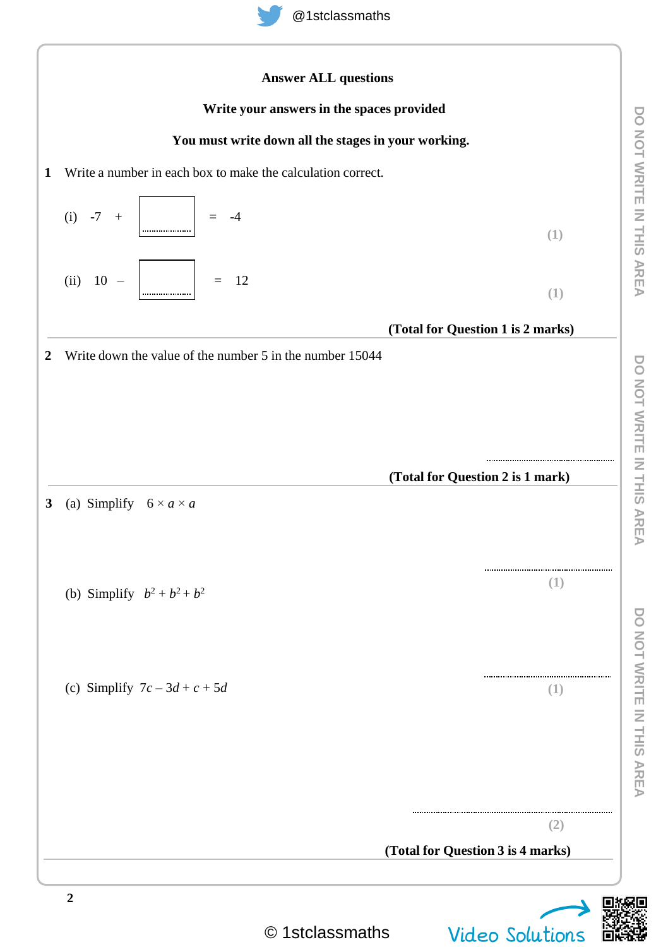

**DO NOT WRITE IN THIS AREA**

**DO NOT WRITE IN THIS AREA** 

**DO NOT WRITE IN THIS AREA**

DO NOT WRITE IN THIS AREA

**DO NOT WRITE IN THIS AREA**

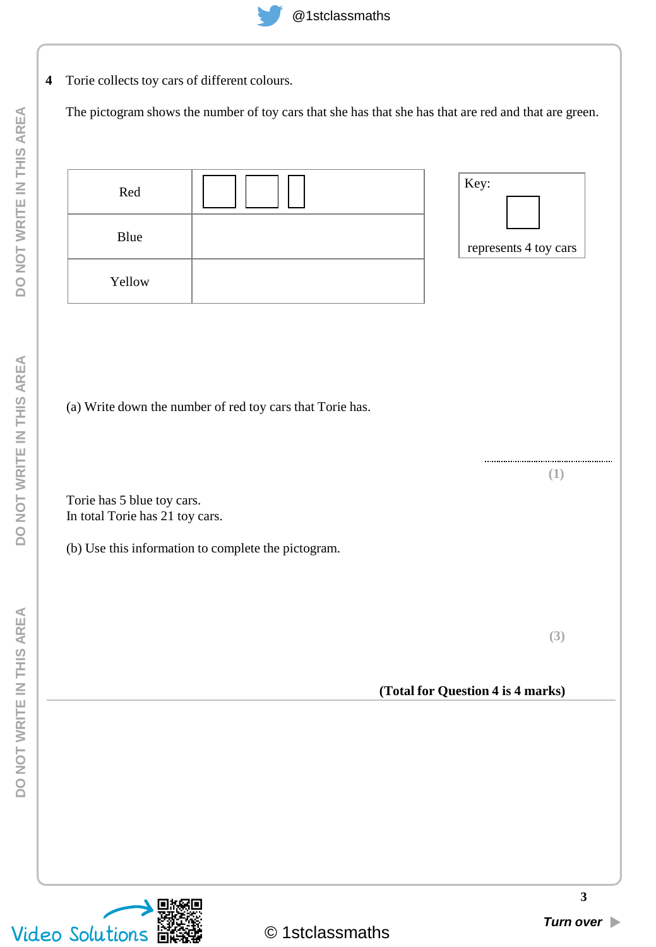**4** Torie collects toy cars of different colours.

The pictogram shows the number of toy cars that she has that she has that are red and that are green.

| Red<br>Blue<br>Yellow |                                                           | Key:<br>represents 4 toy cars |
|-----------------------|-----------------------------------------------------------|-------------------------------|
|                       | (a) Write down the number of red toy cars that Torie has. | <br>ı                         |

Torie has 5 blue toy cars. In total Torie has 21 toy cars.

(b) Use this information to complete the pictogram.

**(3)**

**(Total for Question 4 is 4 marks)**

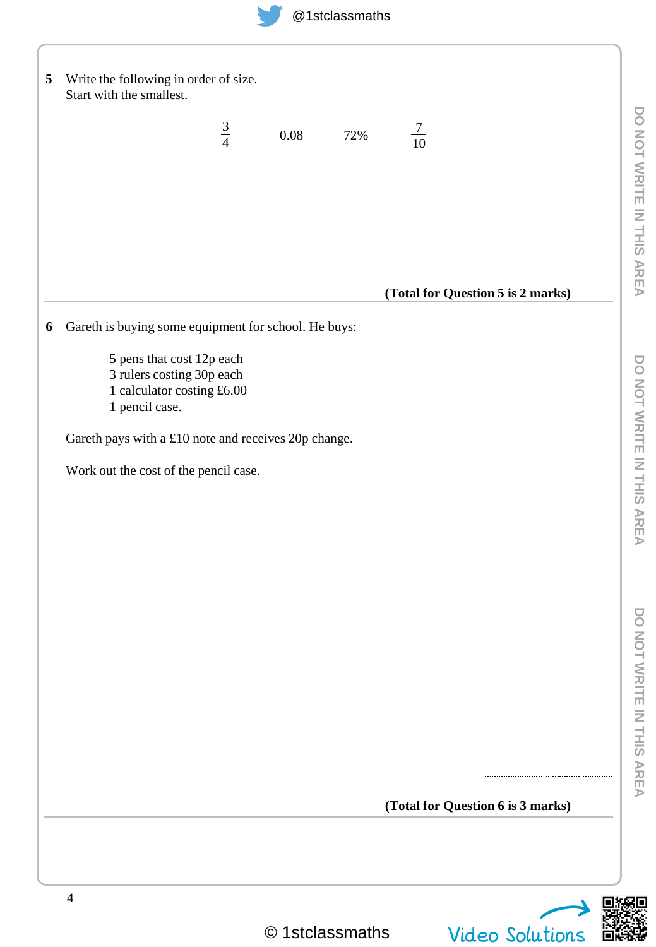

| 5 | Write the following in order of size.<br>Start with the smallest.                                                                                                                                       |             |      |     |                |                                   |  |
|---|---------------------------------------------------------------------------------------------------------------------------------------------------------------------------------------------------------|-------------|------|-----|----------------|-----------------------------------|--|
|   |                                                                                                                                                                                                         | $rac{3}{4}$ | 0.08 | 72% | $\frac{7}{10}$ |                                   |  |
|   |                                                                                                                                                                                                         |             |      |     |                | (Total for Question 5 is 2 marks) |  |
| 6 | Gareth is buying some equipment for school. He buys:                                                                                                                                                    |             |      |     |                |                                   |  |
|   | 5 pens that cost 12p each<br>3 rulers costing 30p each<br>1 calculator costing £6.00<br>1 pencil case.<br>Gareth pays with a £10 note and receives 20p change.<br>Work out the cost of the pencil case. |             |      |     |                |                                   |  |
|   |                                                                                                                                                                                                         |             |      |     |                |                                   |  |
|   |                                                                                                                                                                                                         |             |      |     |                | (Total for Question 6 is 3 marks) |  |
|   | $\boldsymbol{4}$                                                                                                                                                                                        |             |      |     |                |                                   |  |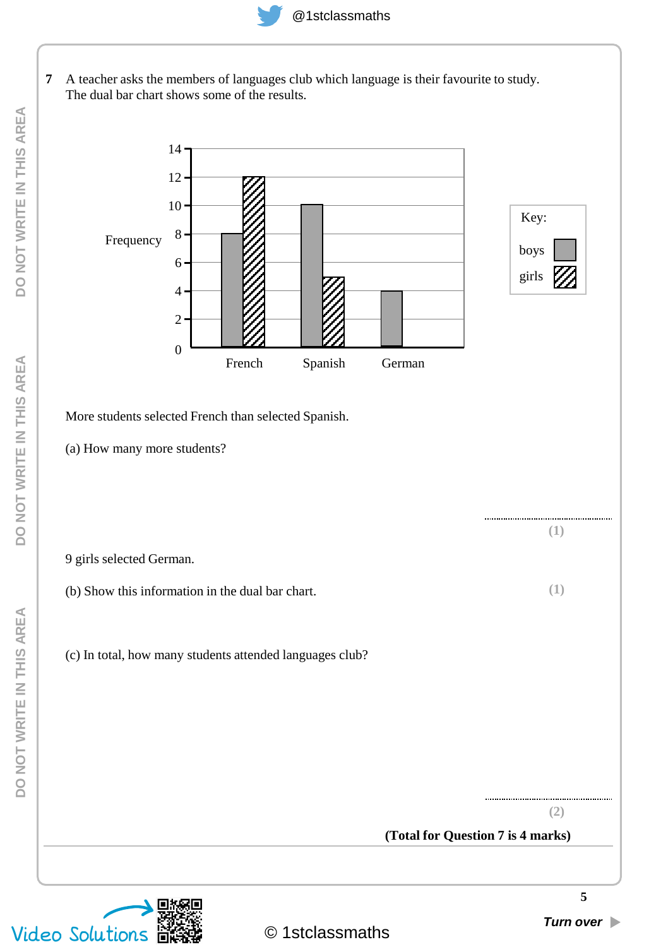

**7** A teacher asks the members of languages club which language is their favourite to study. The dual bar chart shows some of the results.



More students selected French than selected Spanish.

(a) How many more students?

9 girls selected German.

(b) Show this information in the dual bar chart. **(1)**

(c) In total, how many students attended languages club?



**(1)**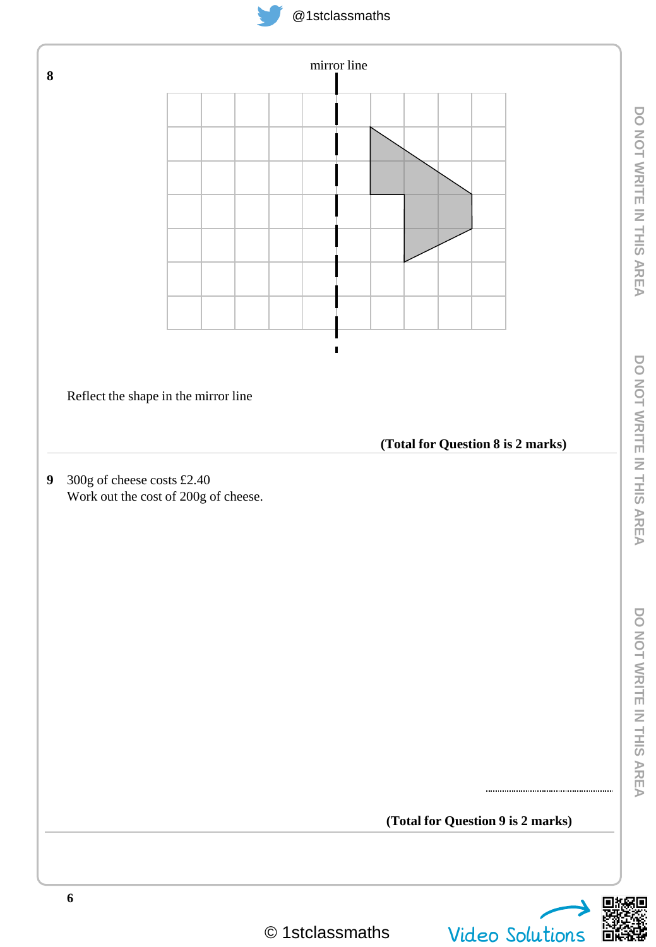



G

**DO NOT WRITE IN THIS AREA**

DO NOT WRITE IN THIS AREA

**DO NOT WRITE IN THIS AREA**

DO NOT WRITE IN THIS AREA

**DO NOT WRITE IN THIS AREA**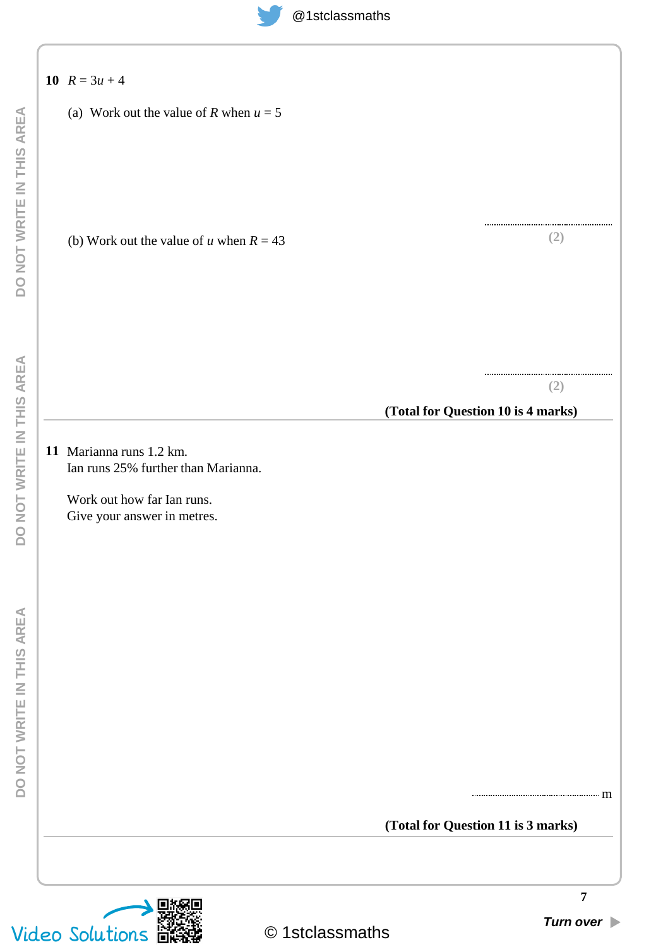| (a) Work out the value of R when $u = 5$                        |                                           |
|-----------------------------------------------------------------|-------------------------------------------|
|                                                                 |                                           |
| (b) Work out the value of u when $R = 43$                       | (2)                                       |
|                                                                 |                                           |
|                                                                 | (2)<br>(Total for Question 10 is 4 marks) |
|                                                                 |                                           |
| 11 Marianna runs 1.2 km.<br>Ian runs 25% further than Marianna. |                                           |
|                                                                 |                                           |
| Work out how far Ian runs.<br>Give your answer in metres.       |                                           |
|                                                                 |                                           |
|                                                                 |                                           |
|                                                                 |                                           |
|                                                                 |                                           |
|                                                                 |                                           |
|                                                                 |                                           |
|                                                                 |                                           |
|                                                                 |                                           |
|                                                                 |                                           |
|                                                                 |                                           |
|                                                                 | (Total for Question 11 is 3 marks)        |
|                                                                 |                                           |
|                                                                 |                                           |
|                                                                 |                                           |

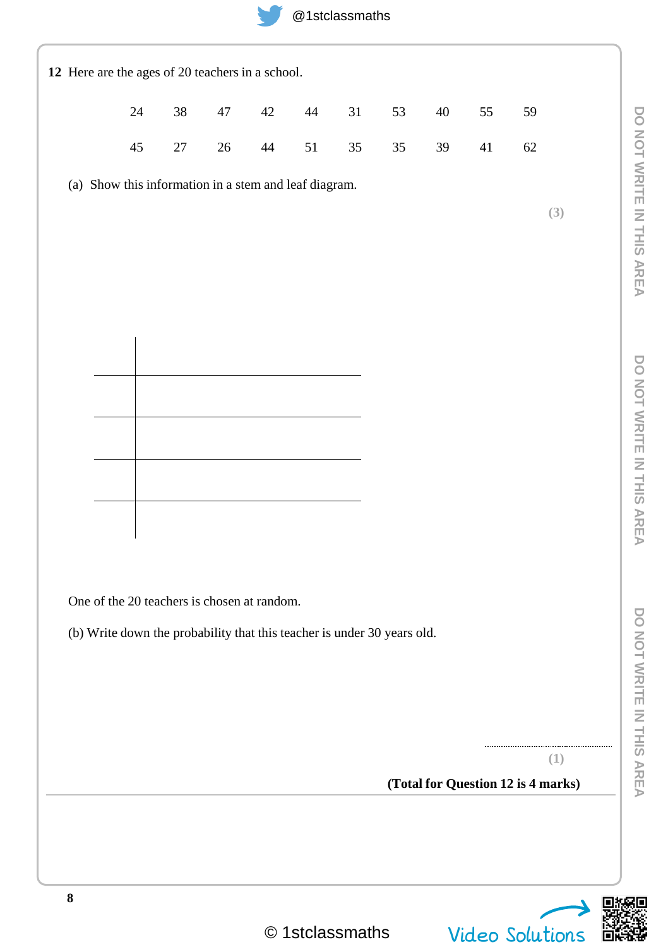| 12 Here are the ages of 20 teachers in a school.                        |        |        |        |        |        |    |    |        |        |                                    |
|-------------------------------------------------------------------------|--------|--------|--------|--------|--------|----|----|--------|--------|------------------------------------|
|                                                                         | 24     | $38\,$ | $47\,$ | $42\,$ | $44\,$ | 31 | 53 | $40\,$ | 55     | 59                                 |
|                                                                         | $45\,$ | $27\,$ | $26\,$ | $44\,$ | $51\,$ | 35 | 35 | 39     | $41\,$ | $62\,$                             |
| (a) Show this information in a stem and leaf diagram.                   |        |        |        |        |        |    |    |        |        |                                    |
|                                                                         |        |        |        |        |        |    |    |        |        | (3)                                |
|                                                                         |        |        |        |        |        |    |    |        |        |                                    |
|                                                                         |        |        |        |        |        |    |    |        |        |                                    |
|                                                                         |        |        |        |        |        |    |    |        |        |                                    |
|                                                                         |        |        |        |        |        |    |    |        |        |                                    |
|                                                                         |        |        |        |        |        |    |    |        |        |                                    |
|                                                                         |        |        |        |        |        |    |    |        |        |                                    |
|                                                                         |        |        |        |        |        |    |    |        |        |                                    |
|                                                                         |        |        |        |        |        |    |    |        |        |                                    |
|                                                                         |        |        |        |        |        |    |    |        |        |                                    |
|                                                                         |        |        |        |        |        |    |    |        |        |                                    |
| One of the 20 teachers is chosen at random.                             |        |        |        |        |        |    |    |        |        |                                    |
| (b) Write down the probability that this teacher is under 30 years old. |        |        |        |        |        |    |    |        |        |                                    |
|                                                                         |        |        |        |        |        |    |    |        |        |                                    |
|                                                                         |        |        |        |        |        |    |    |        |        |                                    |
|                                                                         |        |        |        |        |        |    |    |        |        |                                    |
|                                                                         |        |        |        |        |        |    |    |        |        | (1)                                |
|                                                                         |        |        |        |        |        |    |    |        |        | (Total for Question 12 is 4 marks) |
|                                                                         |        |        |        |        |        |    |    |        |        |                                    |
|                                                                         |        |        |        |        |        |    |    |        |        |                                    |
| ${\bf 8}$                                                               |        |        |        |        |        |    |    |        |        | きょ                                 |

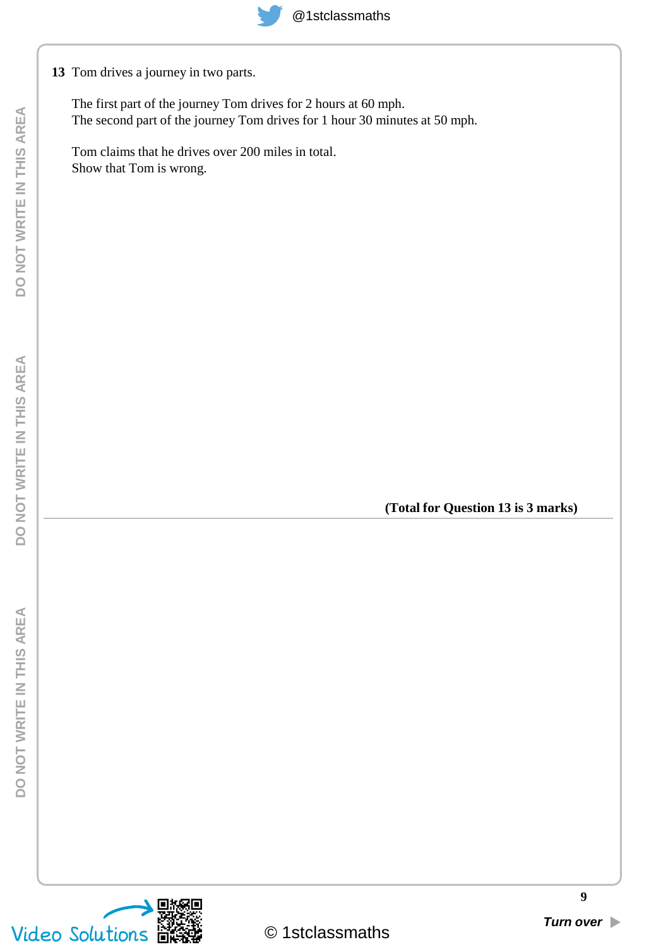**13** Tom drives a journey in two parts.

The first part of the journey Tom drives for 2 hours at 60 mph. The second part of the journey Tom drives for 1 hour 30 minutes at 50 mph.

Tom claims that he drives over 200 miles in total. Show that Tom is wrong.

**(Total for Question 13 is 3 marks)**

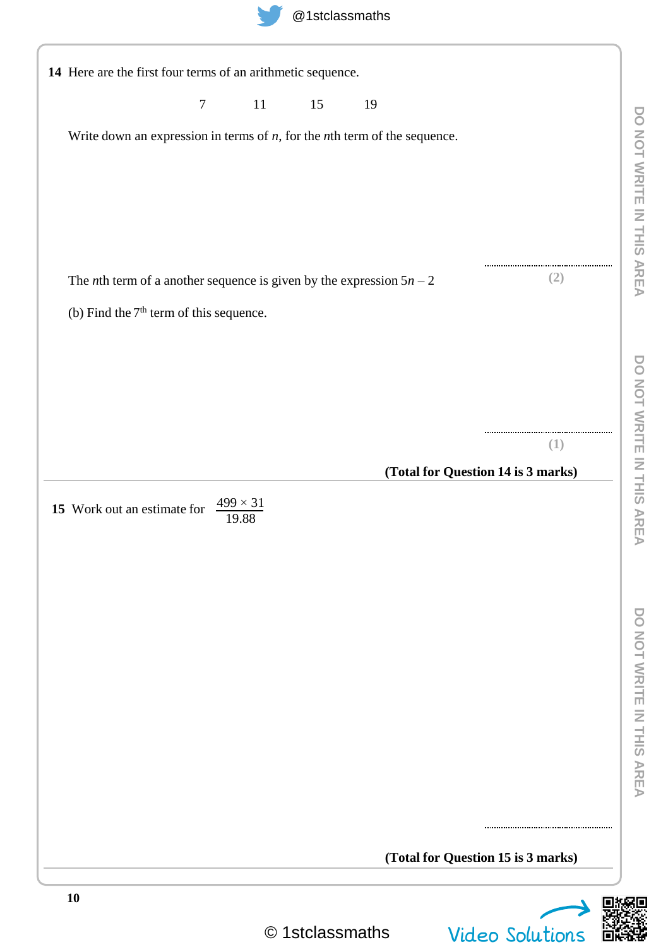|                                                                                | $\boldsymbol{7}$ | $11\,$                        | 15 | 19                                                                              |                                    |
|--------------------------------------------------------------------------------|------------------|-------------------------------|----|---------------------------------------------------------------------------------|------------------------------------|
|                                                                                |                  |                               |    | Write down an expression in terms of $n$ , for the $n$ th term of the sequence. |                                    |
|                                                                                |                  |                               |    |                                                                                 |                                    |
|                                                                                |                  |                               |    |                                                                                 |                                    |
|                                                                                |                  |                               |    |                                                                                 |                                    |
|                                                                                |                  |                               |    |                                                                                 |                                    |
| The <i>n</i> th term of a another sequence is given by the expression $5n - 2$ |                  |                               |    |                                                                                 | (2)                                |
| (b) Find the 7 <sup>th</sup> term of this sequence.                            |                  |                               |    |                                                                                 |                                    |
|                                                                                |                  |                               |    |                                                                                 |                                    |
|                                                                                |                  |                               |    |                                                                                 |                                    |
|                                                                                |                  |                               |    |                                                                                 |                                    |
|                                                                                |                  |                               |    |                                                                                 | (1)                                |
|                                                                                |                  |                               |    |                                                                                 | (Total for Question 14 is 3 marks) |
| 15 Work out an estimate for                                                    |                  | $\frac{499 \times 31}{19.88}$ |    |                                                                                 |                                    |
|                                                                                |                  |                               |    |                                                                                 |                                    |
|                                                                                |                  |                               |    |                                                                                 |                                    |
|                                                                                |                  |                               |    |                                                                                 |                                    |
|                                                                                |                  |                               |    |                                                                                 |                                    |
|                                                                                |                  |                               |    |                                                                                 |                                    |
|                                                                                |                  |                               |    |                                                                                 |                                    |
|                                                                                |                  |                               |    |                                                                                 |                                    |
|                                                                                |                  |                               |    |                                                                                 |                                    |
|                                                                                |                  |                               |    |                                                                                 |                                    |
|                                                                                |                  |                               |    |                                                                                 |                                    |
|                                                                                |                  |                               |    |                                                                                 |                                    |



Ξ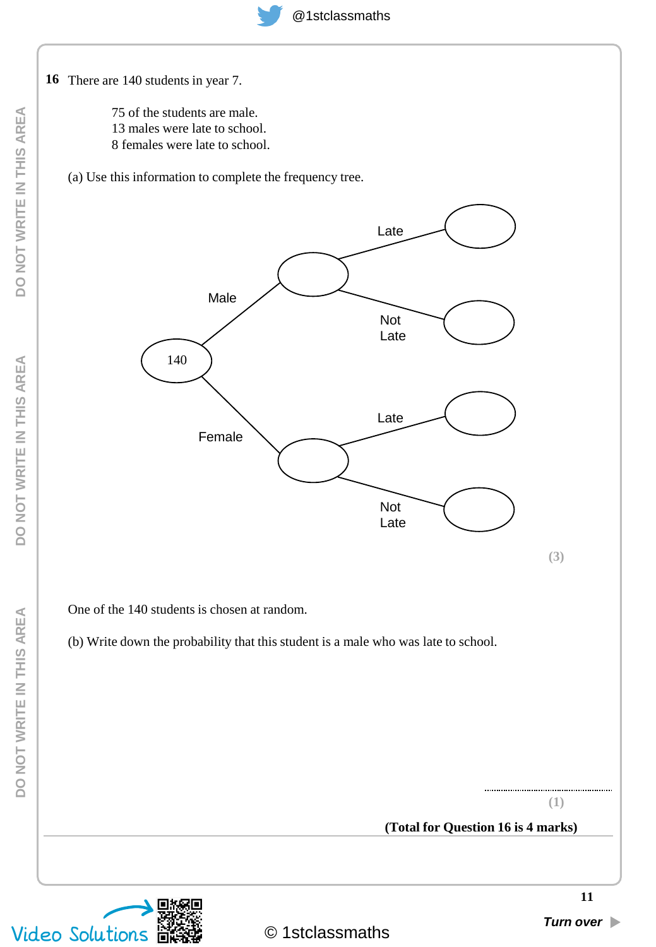

75 of the students are male. 13 males were late to school. 8 females were late to school.

(a) Use this information to complete the frequency tree.



One of the 140 students is chosen at random.

(b) Write down the probability that this student is a male who was late to school.



**(1)**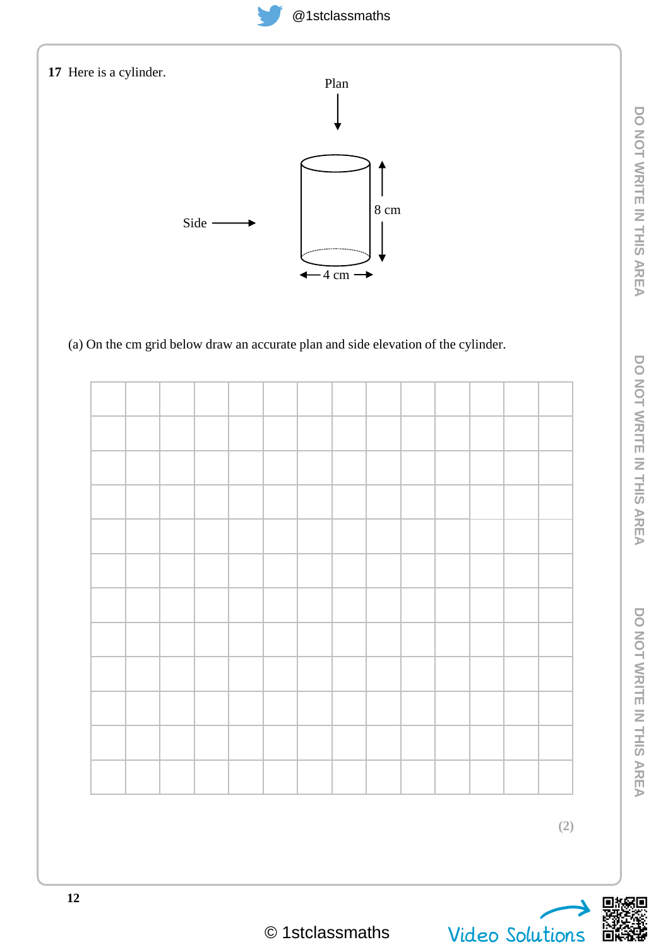

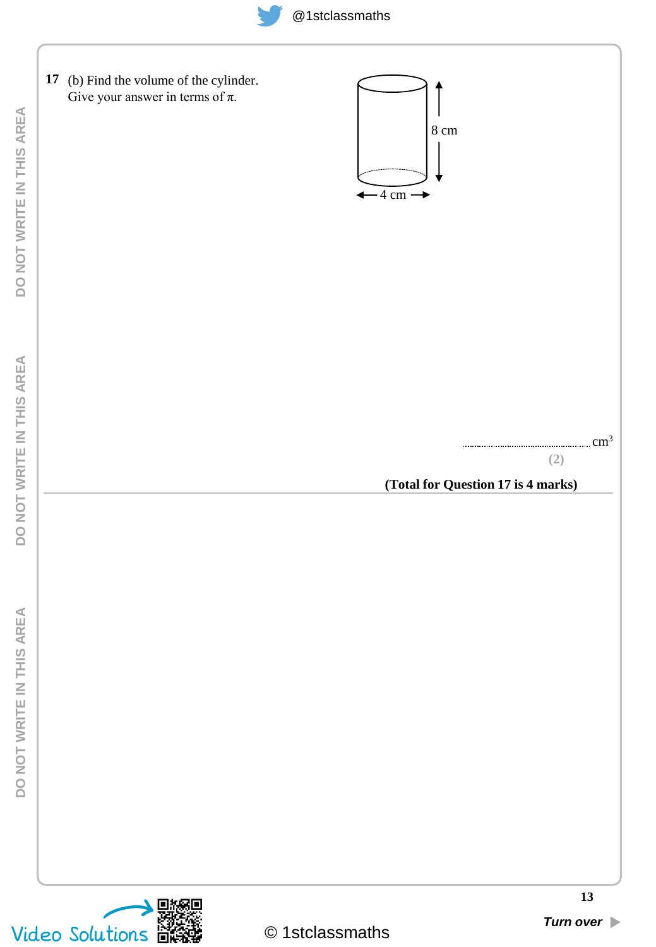

| DO NOT WRITE IN THIS AREA    | 17 (b) Find the volume of the cylinder.<br>Give your answer in terms of $\pi$ . | $8 \text{ cm}$<br>$-4 \text{ cm}$ |                                           |
|------------------------------|---------------------------------------------------------------------------------|-----------------------------------|-------------------------------------------|
| DO NOT WRITE IN THIS AREA    |                                                                                 |                                   | (2)<br>(Total for Question 17 is 4 marks) |
| AREA<br>DO NOT WRITE IN THIS |                                                                                 |                                   |                                           |
|                              | 豒                                                                               |                                   | 13                                        |
|                              | Video Solutions <b>BRSE</b>                                                     | © 1stclassmaths                   | Turn over                                 |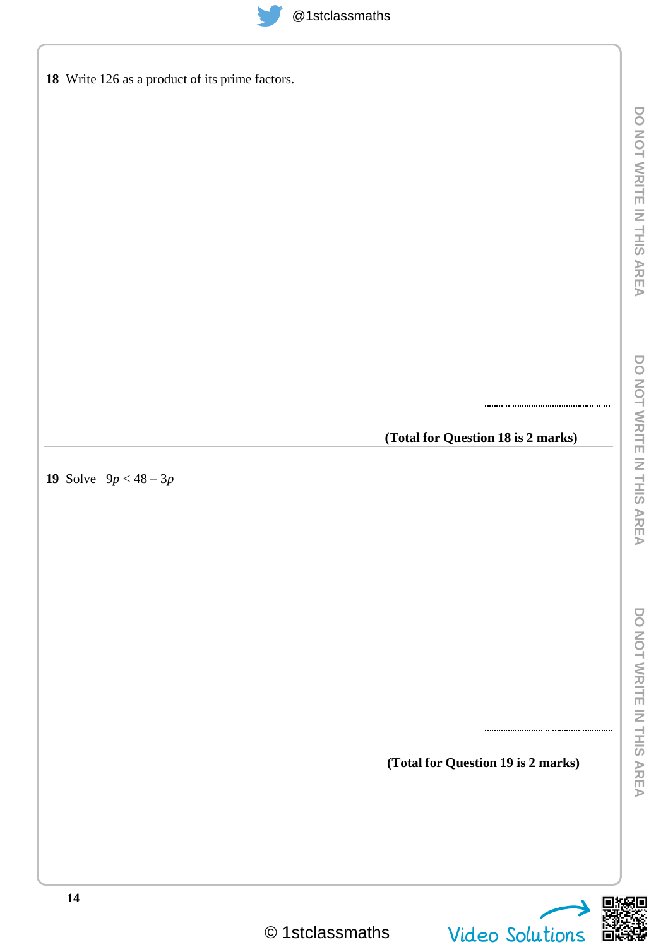| @1stclassmath |
|---------------|
|               |

| $@1$ stclassmaths                               |
|-------------------------------------------------|
| 18 Write 126 as a product of its prime factors. |
|                                                 |
|                                                 |
|                                                 |
|                                                 |
|                                                 |
|                                                 |
|                                                 |
|                                                 |
| (Total for Question 18 is 2 marks)              |
| 19 Solve $9p < 48-3p$                           |
|                                                 |
|                                                 |
|                                                 |
|                                                 |
|                                                 |
|                                                 |
| (Total for Question 19 is 2 marks)              |
|                                                 |



 $\overline{\phantom{0}}$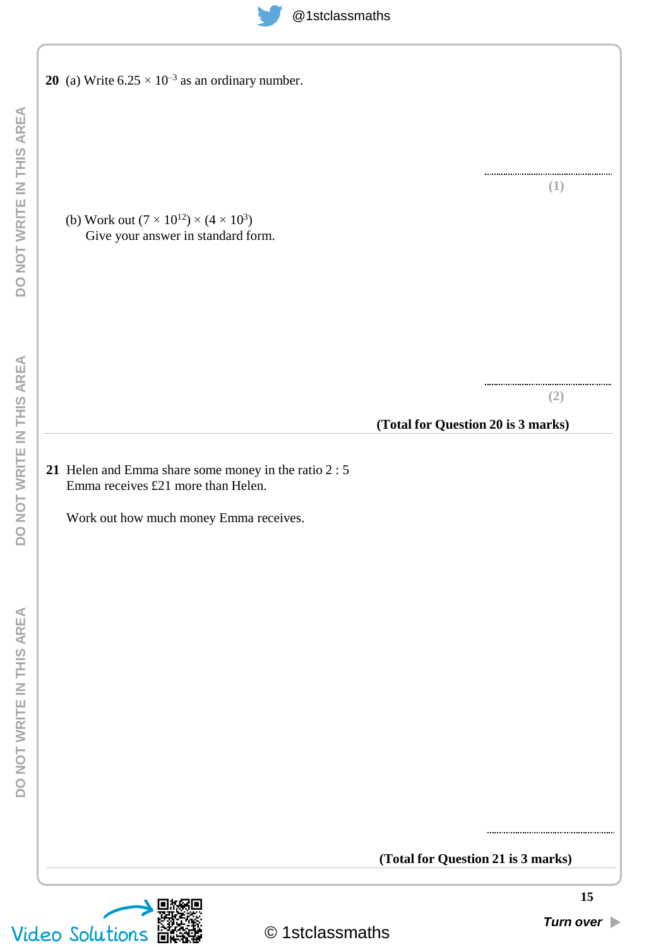**20** (a) Write  $6.25 \times 10^{-3}$  as an ordinary number.

(b) Work out  $(7 \times 10^{12}) \times (4 \times 10^3)$ Give your answer in standard form.

**(2)**

**(1)**

### **(Total for Question 20 is 3 marks)**

**(Total for Question 21 is 3 marks)**

**21** Helen and Emma share some money in the ratio 2 : 5 Emma receives £21 more than Helen.

Work out how much money Emma receives.

© 1stclassmaths Video Solutions *Turn over*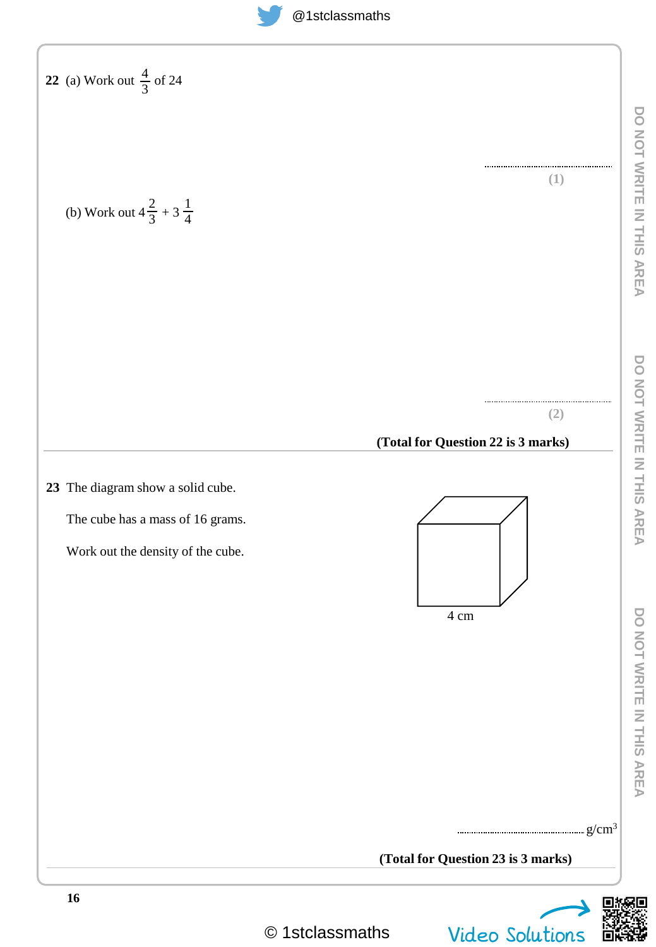| <b>22</b> (a) Work out $\frac{4}{3}$ of 24<br>(b) Work out $4\frac{2}{3} + 3\frac{1}{4}$                   | DO NOT WRITE IN THIS AREA<br>(1)                                                                            |
|------------------------------------------------------------------------------------------------------------|-------------------------------------------------------------------------------------------------------------|
| 23 The diagram show a solid cube.<br>The cube has a mass of 16 grams.<br>Work out the density of the cube. | DO NOT WRITE IN THIS AREA<br>(2)<br>(Total for Question 22 is 3 marks)<br>DO NOT WRITE IN THIS AREA<br>4 cm |
|                                                                                                            | (Total for Question 23 is 3 marks)                                                                          |

Ξ



© 1stclassmaths Video Solutions

**16**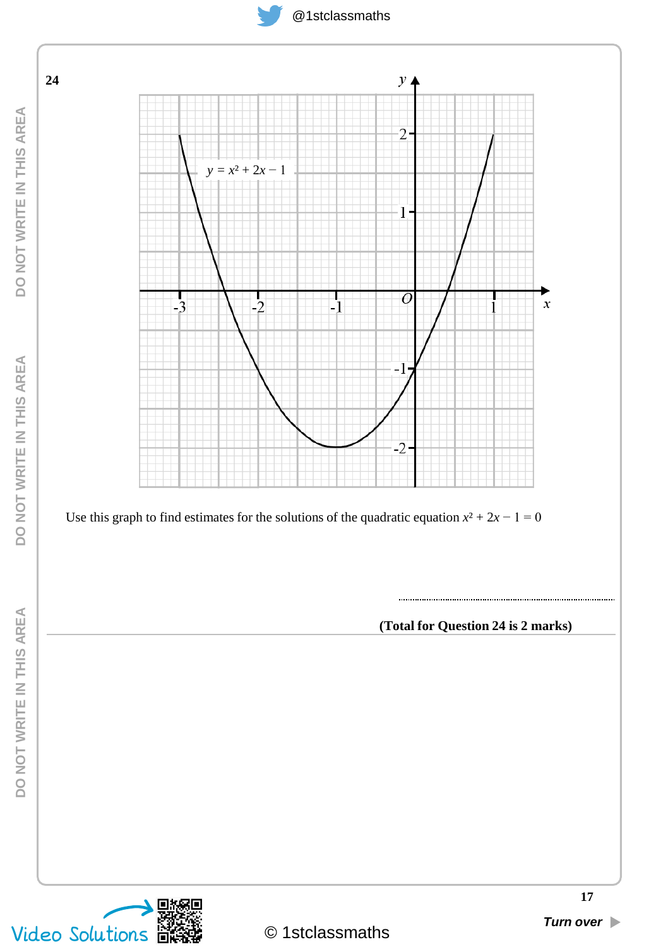





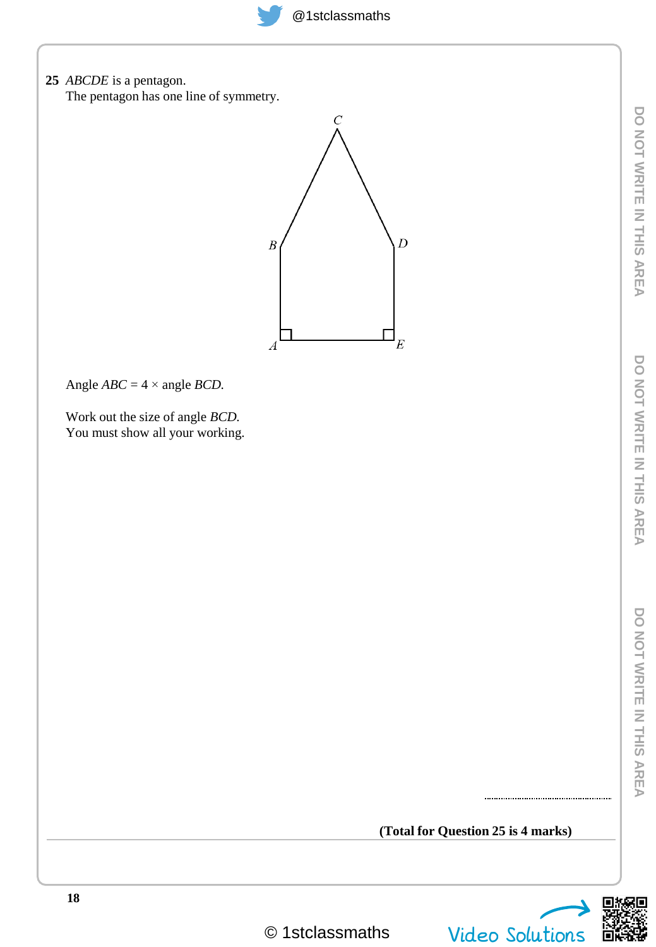**25** *ABCDE* is a pentagon. The pentagon has one line of symmetry.  $\overline{C}$  $\overline{D}$  $\boldsymbol{B}$  $E$  $\boldsymbol{A}$ Angle  $ABC = 4 \times \text{angle } BCD$ . Work out the size of angle *BCD.* You must show all your working.

### **(Total for Question 25 is 4 marks)**



© 1stclassmaths Video Solutions